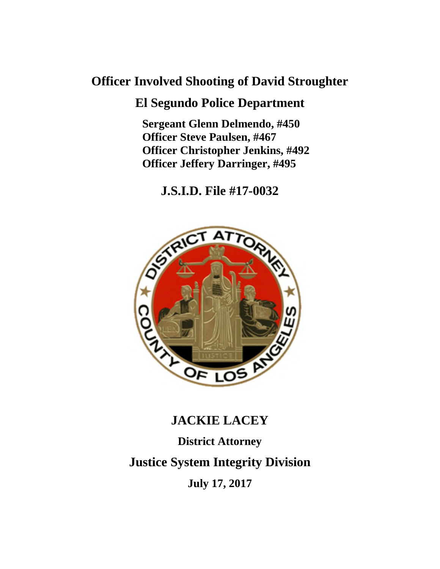# **Officer Involved Shooting of David Stroughter**

# **El Segundo Police Department**

**Sergeant Glenn Delmendo, #450 Officer Steve Paulsen, #467 Officer Christopher Jenkins, #492 Officer Jeffery Darringer, #495**

**J.S.I.D. File #17-0032**



# **JACKIE LACEY District Attorney Justice System Integrity Division July 17, 2017**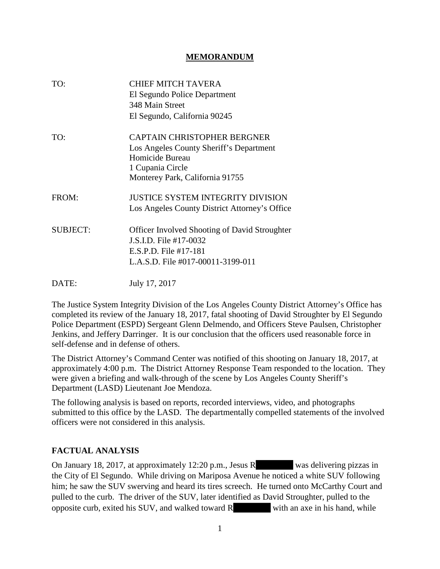#### **MEMORANDUM**

| TO:             | <b>CHIEF MITCH TAVERA</b><br>El Segundo Police Department<br>348 Main Street<br>El Segundo, California 90245                                            |
|-----------------|---------------------------------------------------------------------------------------------------------------------------------------------------------|
| TO:             | <b>CAPTAIN CHRISTOPHER BERGNER</b><br>Los Angeles County Sheriff's Department<br>Homicide Bureau<br>1 Cupania Circle<br>Monterey Park, California 91755 |
| FROM:           | <b>JUSTICE SYSTEM INTEGRITY DIVISION</b><br>Los Angeles County District Attorney's Office                                                               |
| <b>SUBJECT:</b> | <b>Officer Involved Shooting of David Stroughter</b><br>J.S.I.D. File #17-0032<br>E.S.P.D. File #17-181<br>L.A.S.D. File #017-00011-3199-011            |
| DATE:           | July 17, 2017                                                                                                                                           |

The Justice System Integrity Division of the Los Angeles County District Attorney's Office has completed its review of the January 18, 2017, fatal shooting of David Stroughter by El Segundo Police Department (ESPD) Sergeant Glenn Delmendo, and Officers Steve Paulsen, Christopher Jenkins, and Jeffery Darringer. It is our conclusion that the officers used reasonable force in self-defense and in defense of others.

The District Attorney's Command Center was notified of this shooting on January 18, 2017, at approximately 4:00 p.m. The District Attorney Response Team responded to the location. They were given a briefing and walk-through of the scene by Los Angeles County Sheriff's Department (LASD) Lieutenant Joe Mendoza.

The following analysis is based on reports, recorded interviews, video, and photographs submitted to this office by the LASD. The departmentally compelled statements of the involved officers were not considered in this analysis.

## **FACTUAL ANALYSIS**

On January 18, 2017, at approximately 12:20 p.m., Jesus R was delivering pizzas in the City of El Segundo. While driving on Mariposa Avenue he noticed a white SUV following him; he saw the SUV swerving and heard its tires screech. He turned onto McCarthy Court and pulled to the curb. The driver of the SUV, later identified as David Stroughter, pulled to the opposite curb, exited his SUV, and walked toward R with an axe in his hand, while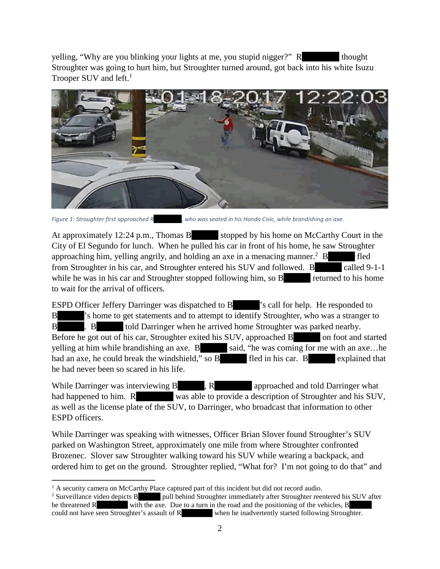yelling, "Why are you blinking your lights at me, you stupid nigger?" R thought Stroughter was going to hurt him, but Stroughter turned around, got back into his white Isuzu Trooper SUV and left. $<sup>1</sup>$ </sup>



*Figure 1: Stroughter first approached R , who was seated in his Honda Civic, while brandishing an axe.*

At approximately 12:24 p.m., Thomas B stopped by his home on McCarthy Court in the City of El Segundo for lunch. When he pulled his car in front of his home, he saw Stroughter approaching him, yelling angrily, and holding an axe in a menacing manner.<sup>2</sup> B fled from Stroughter in his car, and Stroughter entered his SUV and followed. B called 9-1-1 while he was in his car and Stroughter stopped following him, so B returned to his home to wait for the arrival of officers.

ESPD Officer Jeffery Darringer was dispatched to B 's call for help. He responded to B 's home to get statements and to attempt to identify Stroughter, who was a stranger to B . B told Darringer when he arrived home Stroughter was parked nearby. Before he got out of his car, Stroughter exited his SUV, approached B on foot and started yelling at him while brandishing an axe.  $B$  said, "he was coming for me with an axe... he had an axe, he could break the windshield," so B fled in his car. B explained that he had never been so scared in his life.

While Darringer was interviewing  $B$ , R approached and told Darringer what had happened to him. R was able to provide a description of Stroughter and his SUV, as well as the license plate of the SUV, to Darringer, who broadcast that information to other ESPD officers.

While Darringer was speaking with witnesses, Officer Brian Slover found Stroughter's SUV parked on Washington Street, approximately one mile from where Stroughter confronted Brozenec. Slover saw Stroughter walking toward his SUV while wearing a backpack, and ordered him to get on the ground. Stroughter replied, "What for? I'm not going to do that" and

<sup>&</sup>lt;sup>1</sup> A security camera on McCarthy Place captured part of this incident but did not record audio.<br><sup>2</sup> Surveillance video depicts B pull behind Stroughter immediately after Stroughter reen

pull behind Stroughter immediately after Stroughter reentered his SUV after he threatened R with the axe. Due to a turn in the road and the positioning of the vehicles, B could not have seen Stroughter's assault of R when he inadvertently started following Stroughter.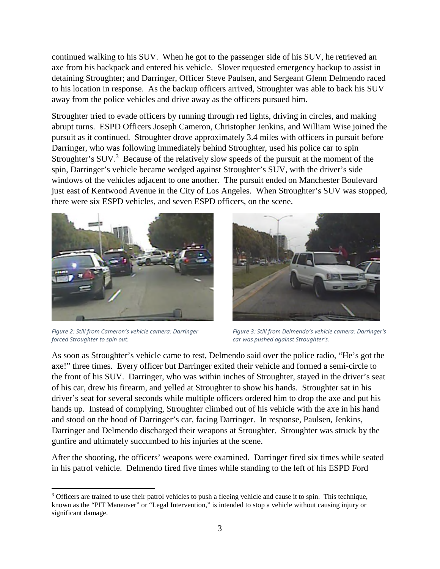continued walking to his SUV. When he got to the passenger side of his SUV, he retrieved an axe from his backpack and entered his vehicle. Slover requested emergency backup to assist in detaining Stroughter; and Darringer, Officer Steve Paulsen, and Sergeant Glenn Delmendo raced to his location in response. As the backup officers arrived, Stroughter was able to back his SUV away from the police vehicles and drive away as the officers pursued him.

Stroughter tried to evade officers by running through red lights, driving in circles, and making abrupt turns. ESPD Officers Joseph Cameron, Christopher Jenkins, and William Wise joined the pursuit as it continued. Stroughter drove approximately 3.4 miles with officers in pursuit before Darringer, who was following immediately behind Stroughter, used his police car to spin Stroughter's SUV.<sup>3</sup> Because of the relatively slow speeds of the pursuit at the moment of the spin, Darringer's vehicle became wedged against Stroughter's SUV, with the driver's side windows of the vehicles adjacent to one another. The pursuit ended on Manchester Boulevard just east of Kentwood Avenue in the City of Los Angeles. When Stroughter's SUV was stopped, there were six ESPD vehicles, and seven ESPD officers, on the scene.



*Figure 2: Still from Cameron's vehicle camera: Darringer forced Stroughter to spin out.*



*Figure 3: Still from Delmendo's vehicle camera: Darringer's car was pushed against Stroughter's.*

As soon as Stroughter's vehicle came to rest, Delmendo said over the police radio, "He's got the axe!" three times. Every officer but Darringer exited their vehicle and formed a semi-circle to the front of his SUV. Darringer, who was within inches of Stroughter, stayed in the driver's seat of his car, drew his firearm, and yelled at Stroughter to show his hands. Stroughter sat in his driver's seat for several seconds while multiple officers ordered him to drop the axe and put his hands up. Instead of complying, Stroughter climbed out of his vehicle with the axe in his hand and stood on the hood of Darringer's car, facing Darringer. In response, Paulsen, Jenkins, Darringer and Delmendo discharged their weapons at Stroughter. Stroughter was struck by the gunfire and ultimately succumbed to his injuries at the scene.

After the shooting, the officers' weapons were examined. Darringer fired six times while seated in his patrol vehicle. Delmendo fired five times while standing to the left of his ESPD Ford

<sup>&</sup>lt;sup>3</sup> Officers are trained to use their patrol vehicles to push a fleeing vehicle and cause it to spin. This technique, known as the "PIT Maneuver" or "Legal Intervention," is intended to stop a vehicle without causing injury or significant damage.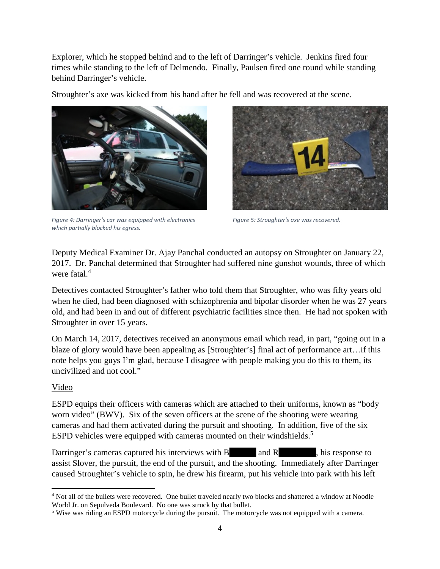Explorer, which he stopped behind and to the left of Darringer's vehicle. Jenkins fired four times while standing to the left of Delmendo. Finally, Paulsen fired one round while standing behind Darringer's vehicle.

Stroughter's axe was kicked from his hand after he fell and was recovered at the scene.



*Figure 4: Darringer's car was equipped with electronics which partially blocked his egress.*



*Figure 5: Stroughter's axe was recovered.*

Deputy Medical Examiner Dr. Ajay Panchal conducted an autopsy on Stroughter on January 22, 2017. Dr. Panchal determined that Stroughter had suffered nine gunshot wounds, three of which were fatal.<sup>4</sup>

Detectives contacted Stroughter's father who told them that Stroughter, who was fifty years old when he died, had been diagnosed with schizophrenia and bipolar disorder when he was 27 years old, and had been in and out of different psychiatric facilities since then. He had not spoken with Stroughter in over 15 years.

On March 14, 2017, detectives received an anonymous email which read, in part, "going out in a blaze of glory would have been appealing as [Stroughter's] final act of performance art…if this note helps you guys I'm glad, because I disagree with people making you do this to them, its uncivilized and not cool."

## Video

ESPD equips their officers with cameras which are attached to their uniforms, known as "body worn video" (BWV). Six of the seven officers at the scene of the shooting were wearing cameras and had them activated during the pursuit and shooting. In addition, five of the six ESPD vehicles were equipped with cameras mounted on their windshields.<sup>5</sup>

Darringer's cameras captured his interviews with  $B$  and  $R$ , his response to assist Slover, the pursuit, the end of the pursuit, and the shooting. Immediately after Darringer caused Stroughter's vehicle to spin, he drew his firearm, put his vehicle into park with his left

<sup>4</sup> Not all of the bullets were recovered. One bullet traveled nearly two blocks and shattered a window at Noodle World Jr. on Sepulveda Boulevard. No one was struck by that bullet.

<sup>5</sup> Wise was riding an ESPD motorcycle during the pursuit. The motorcycle was not equipped with a camera.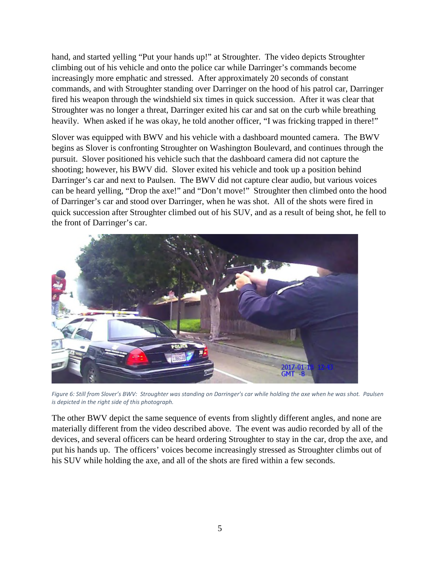hand, and started yelling "Put your hands up!" at Stroughter. The video depicts Stroughter climbing out of his vehicle and onto the police car while Darringer's commands become increasingly more emphatic and stressed. After approximately 20 seconds of constant commands, and with Stroughter standing over Darringer on the hood of his patrol car, Darringer fired his weapon through the windshield six times in quick succession. After it was clear that Stroughter was no longer a threat, Darringer exited his car and sat on the curb while breathing heavily. When asked if he was okay, he told another officer, "I was fricking trapped in there!"

Slover was equipped with BWV and his vehicle with a dashboard mounted camera. The BWV begins as Slover is confronting Stroughter on Washington Boulevard, and continues through the pursuit. Slover positioned his vehicle such that the dashboard camera did not capture the shooting; however, his BWV did. Slover exited his vehicle and took up a position behind Darringer's car and next to Paulsen. The BWV did not capture clear audio, but various voices can be heard yelling, "Drop the axe!" and "Don't move!" Stroughter then climbed onto the hood of Darringer's car and stood over Darringer, when he was shot. All of the shots were fired in quick succession after Stroughter climbed out of his SUV, and as a result of being shot, he fell to the front of Darringer's car.



*Figure 6: Still from Slover's BWV: Stroughter was standing on Darringer's car while holding the axe when he was shot. Paulsen is depicted in the right side of this photograph.*

The other BWV depict the same sequence of events from slightly different angles, and none are materially different from the video described above. The event was audio recorded by all of the devices, and several officers can be heard ordering Stroughter to stay in the car, drop the axe, and put his hands up. The officers' voices become increasingly stressed as Stroughter climbs out of his SUV while holding the axe, and all of the shots are fired within a few seconds.